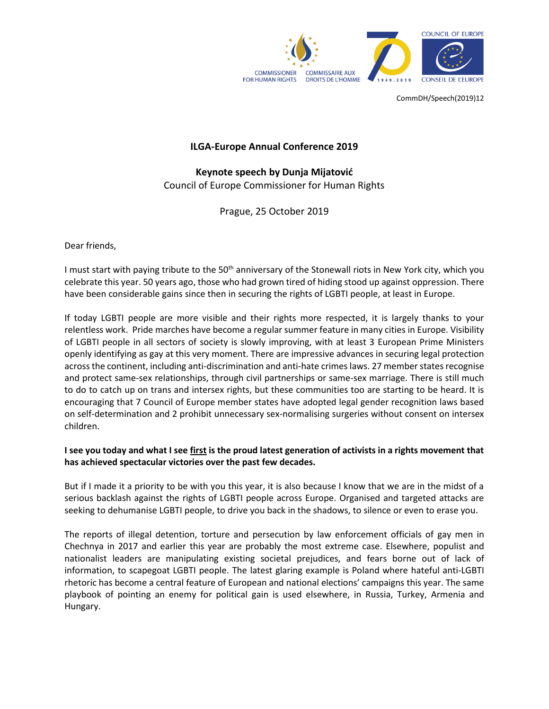

CommDH/Speech(2019)12

## **ILGA-Europe Annual Conference 2019**

**Keynote speech by Dunja Mijatović** Council of Europe Commissioner for Human Rights

Prague, 25 October 2019

Dear friends,

I must start with paying tribute to the 50<sup>th</sup> anniversary of the Stonewall riots in New York city, which you celebrate this year. 50 years ago, those who had grown tired of hiding stood up against oppression. There have been considerable gains since then in securing the rights of LGBTI people, at least in Europe.

If today LGBTI people are more visible and their rights more respected, it is largely thanks to your relentless work. Pride marches have become a regular summer feature in many cities in Europe. Visibility of LGBTI people in all sectors of society is slowly improving, with at least 3 European Prime Ministers openly identifying as gay at this very moment. There are impressive advances in securing legal protection across the continent, including anti-discrimination and anti-hate crimes laws. 27 member states recognise and protect same-sex relationships, through civil partnerships or same-sex marriage. There is still much to do to catch up on trans and intersex rights, but these communities too are starting to be heard. It is encouraging that 7 Council of Europe member states have adopted legal gender recognition laws based on self-determination and 2 prohibit unnecessary sex-normalising surgeries without consent on intersex children.

## **I see you today and what I see first is the proud latest generation of activists in a rights movement that has achieved spectacular victories over the past few decades.**

But if I made it a priority to be with you this year, it is also because I know that we are in the midst of a serious backlash against the rights of LGBTI people across Europe. Organised and targeted attacks are seeking to dehumanise LGBTI people, to drive you back in the shadows, to silence or even to erase you.

The reports of illegal detention, torture and persecution by law enforcement officials of gay men in Chechnya in 2017 and earlier this year are probably the most extreme case. Elsewhere, populist and nationalist leaders are manipulating existing societal prejudices, and fears borne out of lack of information, to scapegoat LGBTI people. The latest glaring example is Poland where hateful anti-LGBTI rhetoric has become a central feature of European and national elections' campaigns this year. The same playbook of pointing an enemy for political gain is used elsewhere, in Russia, Turkey, Armenia and Hungary.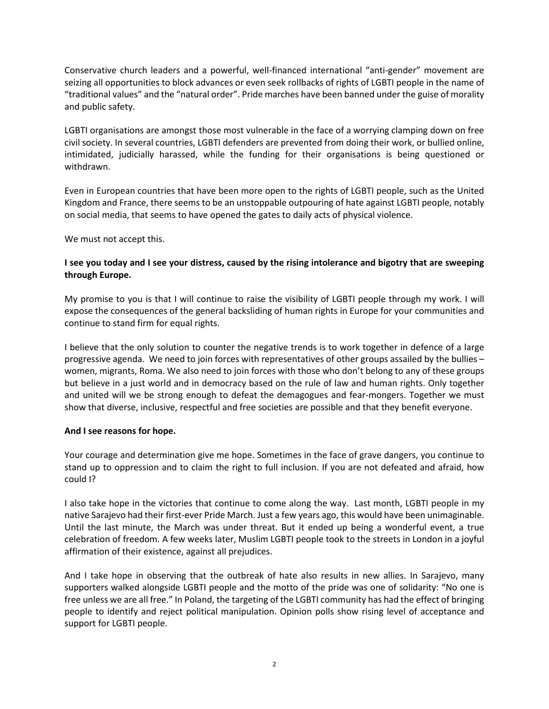Conservative church leaders and a powerful, well-financed international "anti-gender" movement are seizing all opportunities to block advances or even seek rollbacks of rights of LGBTI people in the name of "traditional values" and the "natural order". Pride marches have been banned under the guise of morality and public safety.

LGBTI organisations are amongst those most vulnerable in the face of a worrying clamping down on free civil society. In several countries, LGBTI defenders are prevented from doing their work, or bullied online, intimidated, judicially harassed, while the funding for their organisations is being questioned or withdrawn.

Even in European countries that have been more open to the rights of LGBTI people, such as the United Kingdom and France, there seems to be an unstoppable outpouring of hate against LGBTI people, notably on social media, that seems to have opened the gates to daily acts of physical violence.

We must not accept this.

## I see you today and I see your distress, caused by the rising intolerance and bigotry that are sweeping **through Europe.**

My promise to you is that I will continue to raise the visibility of LGBTI people through my work. I will expose the consequences of the general backsliding of human rights in Europe for your communities and continue to stand firm for equal rights.

I believe that the only solution to counter the negative trends is to work together in defence of a large progressive agenda. We need to join forces with representatives of other groups assailed by the bullies – women, migrants, Roma. We also need to join forces with those who don't belong to any of these groups but believe in a just world and in democracy based on the rule of law and human rights. Only together and united will we be strong enough to defeat the demagogues and fear-mongers. Together we must show that diverse, inclusive, respectful and free societies are possible and that they benefit everyone.

## **And I see reasons for hope.**

Your courage and determination give me hope. Sometimes in the face of grave dangers, you continue to stand up to oppression and to claim the right to full inclusion. If you are not defeated and afraid, how could I?

I also take hope in the victories that continue to come along the way. Last month, LGBTI people in my native Sarajevo had their first-ever Pride March. Just a few years ago, this would have been unimaginable. Until the last minute, the March was under threat. But it ended up being a wonderful event, a true celebration of freedom. A few weeks later, Muslim LGBTI people took to the streets in London in a joyful affirmation of their existence, against all prejudices.

And I take hope in observing that the outbreak of hate also results in new allies. In Sarajevo, many supporters walked alongside LGBTI people and the motto of the pride was one of solidarity: "No one is free unless we are all free." In Poland, the targeting of the LGBTI community has had the effect of bringing people to identify and reject political manipulation. Opinion polls show rising level of acceptance and support for LGBTI people.